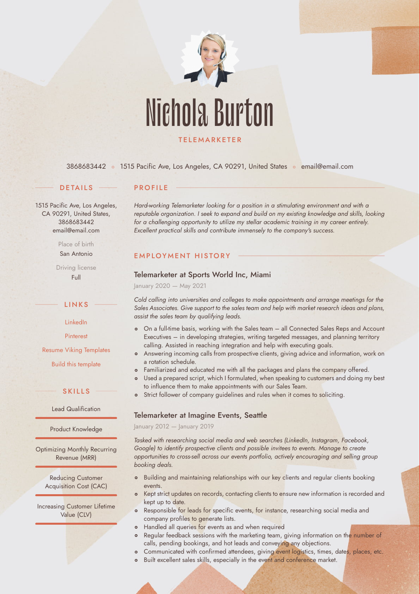

[3868683442](callto:3868683442) · 1515 Pacific Ave, Los Angeles, CA 90291, United States · [email@email.com](mailto:email@email.com)

### **DETAILS**

## **PROFILE**

1515 Pacific Ave, Los Angeles, CA 90291, United States, 3868683442 email@email.com

> Place of birth San Antonio

Driving license Full

**LINKS** 

[LinkedIn](https://www.linkedin.com/)

[Pinterest](https://www.pinterest.es/resumeviking/)

[Resume Viking Templates](https://www.resumeviking.com/templates/word/)

[Build this template](https://resume.io/?id=cpdokyF1)

## S K I L L S

Lead Qualification

Product Knowledge

Optimizing Monthly Recurring Revenue (MRR)

Reducing Customer Acquisition Cost (CAC)

Increasing Customer Lifetime Value (CLV)

*Hard-working Telemarketer looking for a position in a stimulating environment and with a reputable organization. I seek to expand and build on my existing knowledge and skills, looking for a challenging opportunity to utilize my stellar academic training in my career entirely. Excellent practical skills and contribute immensely to the company's success.*

### EMPLOYMENT HISTORY

### Telemarketer at Sports World Inc, Miami

January 2020 — May 2021

*Cold calling into universities and colleges to make appointments and arrange meetings for the Sales Associates. Give support to the sales team and help with market research ideas and plans, assist the sales team by qualifying leads.*

- [On a full-tim](callto:3868683442)e basis, working with the Sales team all Connected Sales Reps and Account Executives – in developing strategies, writing targeted messages, and planning territory calling. Assisted in reaching integration and help with executing goals.
- Answering incoming calls from prospective clients, giving advice and information, work on a rotation schedule.
- o Familiarized and educated me with all the packages and plans the company offered.
- Used a prepared script, which I formulated, when speaking to customers and doing my best to influence them to make appointments with our Sales Team.
- Strict follower of company guidelines and rules when it comes to soliciting.  $\circ$

## Telemarketer at Imagine Events, Seattle

January 2012 — January 2019

*Tasked with researching social media and web searches (LinkedIn, Instagram, Facebook, Google) to identify prospective clients and possible invitees to events. Manage to create opportunities to cross-sell across our events portfolio, actively encouraging and selling group booking deals.*

- <sup>o</sup> Building and maintaining relationships with our key clients and regular clients booking events.
- o Kept strict updates on records, contacting clients to ensure new information is recorded and kept up to date.
- Responsible for leads for specific events, for instance, researching social media and  $\circ$ company profiles to generate lists.
- Handled all queries for events as and when required  $\circ$
- $\circ$ Regular feedback sessions with the marketing team, giving information on the number of calls, pending bookings, and hot leads and conveying any objections.
- Communicated with confirmed attendees, giving event logistics, times, dates, places, etc.  $\circ$
- Built excellent sales skills, especially in the event and conference market.